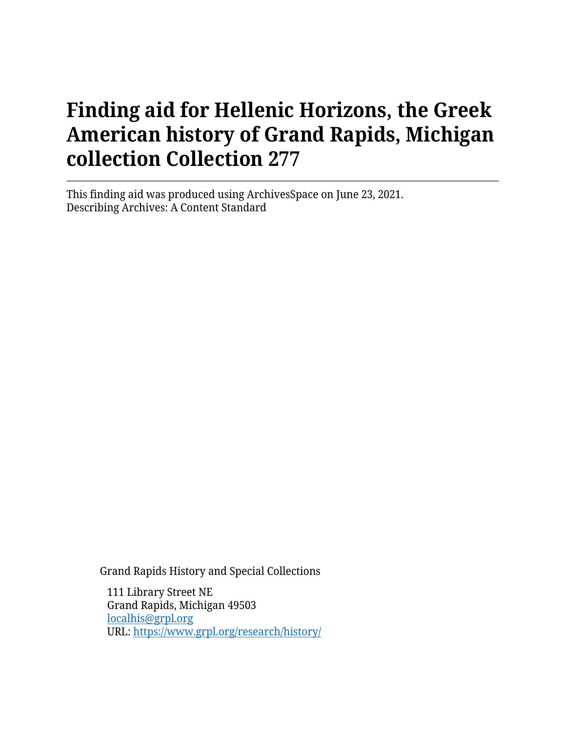This finding aid was produced using ArchivesSpace on June 23, 2021. Describing Archives: A Content Standard

Grand Rapids History and Special Collections

111 Library Street NE Grand Rapids, Michigan 49503 [localhis@grpl.org](mailto:localhis@grpl.org) URL:<https://www.grpl.org/research/history/>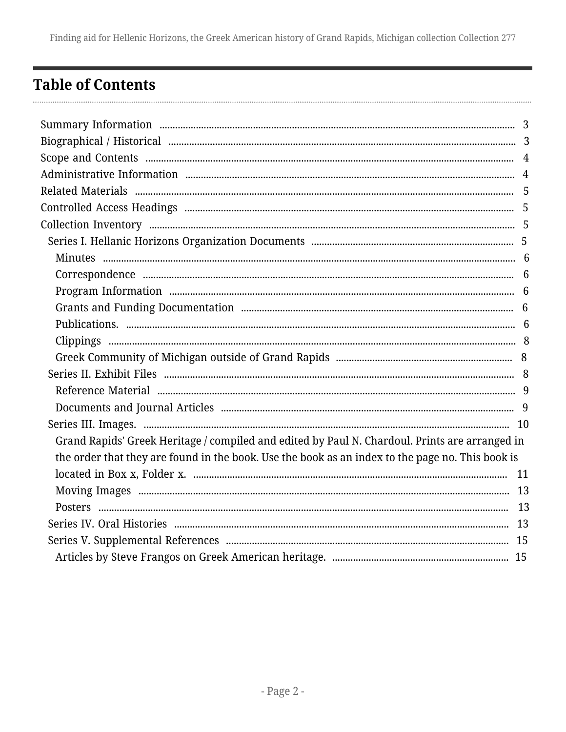## <span id="page-1-0"></span>**Table of Contents**

| Grand Rapids' Greek Heritage / compiled and edited by Paul N. Chardoul. Prints are arranged in   |  |
|--------------------------------------------------------------------------------------------------|--|
| the order that they are found in the book. Use the book as an index to the page no. This book is |  |
|                                                                                                  |  |
|                                                                                                  |  |
|                                                                                                  |  |
|                                                                                                  |  |
|                                                                                                  |  |
|                                                                                                  |  |
|                                                                                                  |  |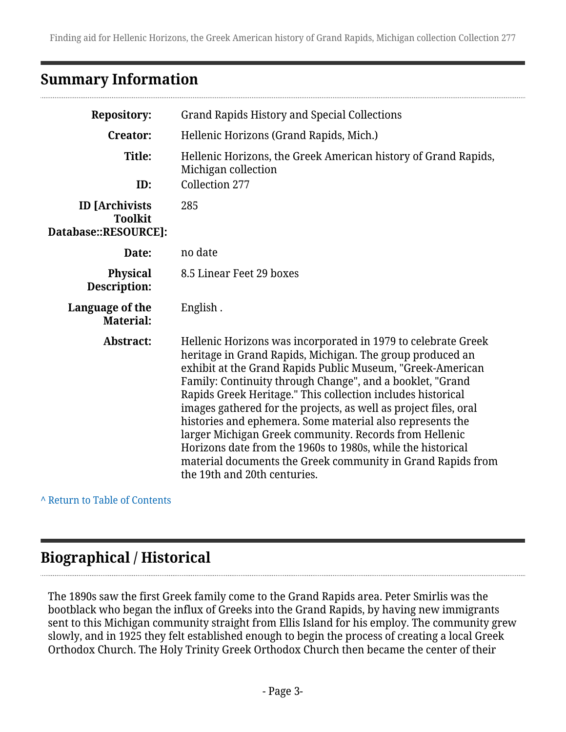## <span id="page-2-0"></span>**Summary Information**

| <b>Repository:</b>                                              | <b>Grand Rapids History and Special Collections</b>                                                                                                                                                                                                                                                                                                                                                                                                                                                                                                                                                                                                                           |  |
|-----------------------------------------------------------------|-------------------------------------------------------------------------------------------------------------------------------------------------------------------------------------------------------------------------------------------------------------------------------------------------------------------------------------------------------------------------------------------------------------------------------------------------------------------------------------------------------------------------------------------------------------------------------------------------------------------------------------------------------------------------------|--|
| <b>Creator:</b>                                                 | Hellenic Horizons (Grand Rapids, Mich.)                                                                                                                                                                                                                                                                                                                                                                                                                                                                                                                                                                                                                                       |  |
| Title:<br>ID:                                                   | Hellenic Horizons, the Greek American history of Grand Rapids,<br>Michigan collection<br>Collection 277                                                                                                                                                                                                                                                                                                                                                                                                                                                                                                                                                                       |  |
| <b>ID</b> [Archivists<br><b>Toolkit</b><br>Database::RESOURCE]: | 285                                                                                                                                                                                                                                                                                                                                                                                                                                                                                                                                                                                                                                                                           |  |
| Date:                                                           | no date                                                                                                                                                                                                                                                                                                                                                                                                                                                                                                                                                                                                                                                                       |  |
| <b>Physical</b><br>Description:                                 | 8.5 Linear Feet 29 boxes                                                                                                                                                                                                                                                                                                                                                                                                                                                                                                                                                                                                                                                      |  |
| Language of the<br><b>Material:</b>                             | English.                                                                                                                                                                                                                                                                                                                                                                                                                                                                                                                                                                                                                                                                      |  |
| Abstract:                                                       | Hellenic Horizons was incorporated in 1979 to celebrate Greek<br>heritage in Grand Rapids, Michigan. The group produced an<br>exhibit at the Grand Rapids Public Museum, "Greek-American<br>Family: Continuity through Change", and a booklet, "Grand<br>Rapids Greek Heritage." This collection includes historical<br>images gathered for the projects, as well as project files, oral<br>histories and ephemera. Some material also represents the<br>larger Michigan Greek community. Records from Hellenic<br>Horizons date from the 1960s to 1980s, while the historical<br>material documents the Greek community in Grand Rapids from<br>the 19th and 20th centuries. |  |

**^** [Return to Table of Contents](#page-1-0)

## <span id="page-2-1"></span>**Biographical / Historical**

The 1890s saw the first Greek family come to the Grand Rapids area. Peter Smirlis was the bootblack who began the influx of Greeks into the Grand Rapids, by having new immigrants sent to this Michigan community straight from Ellis Island for his employ. The community grew slowly, and in 1925 they felt established enough to begin the process of creating a local Greek Orthodox Church. The Holy Trinity Greek Orthodox Church then became the center of their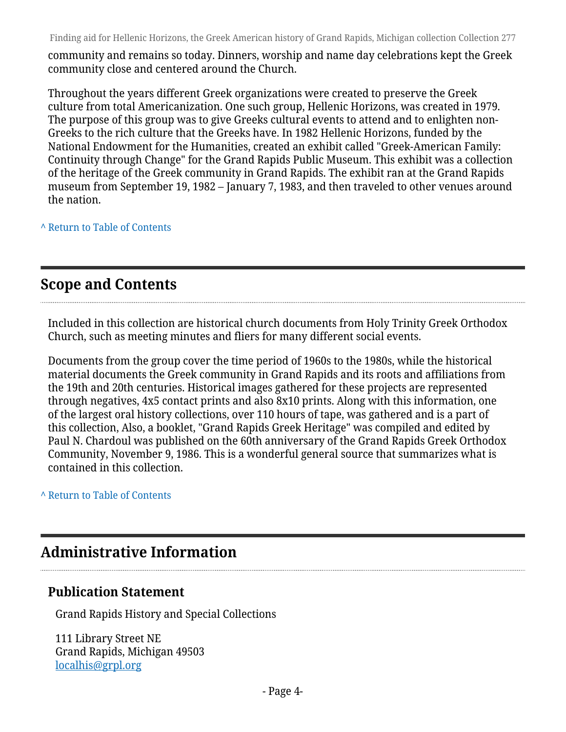community and remains so today. Dinners, worship and name day celebrations kept the Greek community close and centered around the Church.

Throughout the years different Greek organizations were created to preserve the Greek culture from total Americanization. One such group, Hellenic Horizons, was created in 1979. The purpose of this group was to give Greeks cultural events to attend and to enlighten non-Greeks to the rich culture that the Greeks have. In 1982 Hellenic Horizons, funded by the National Endowment for the Humanities, created an exhibit called "Greek-American Family: Continuity through Change" for the Grand Rapids Public Museum. This exhibit was a collection of the heritage of the Greek community in Grand Rapids. The exhibit ran at the Grand Rapids museum from September 19, 1982 – January 7, 1983, and then traveled to other venues around the nation.

**^** [Return to Table of Contents](#page-1-0)

## <span id="page-3-0"></span>**Scope and Contents**

Included in this collection are historical church documents from Holy Trinity Greek Orthodox Church, such as meeting minutes and fliers for many different social events.

Documents from the group cover the time period of 1960s to the 1980s, while the historical material documents the Greek community in Grand Rapids and its roots and affiliations from the 19th and 20th centuries. Historical images gathered for these projects are represented through negatives, 4x5 contact prints and also 8x10 prints. Along with this information, one of the largest oral history collections, over 110 hours of tape, was gathered and is a part of this collection, Also, a booklet, "Grand Rapids Greek Heritage" was compiled and edited by Paul N. Chardoul was published on the 60th anniversary of the Grand Rapids Greek Orthodox Community, November 9, 1986. This is a wonderful general source that summarizes what is contained in this collection.

**^** [Return to Table of Contents](#page-1-0)

## <span id="page-3-1"></span>**Administrative Information**

### **Publication Statement**

Grand Rapids History and Special Collections

111 Library Street NE Grand Rapids, Michigan 49503 [localhis@grpl.org](mailto:localhis@grpl.org)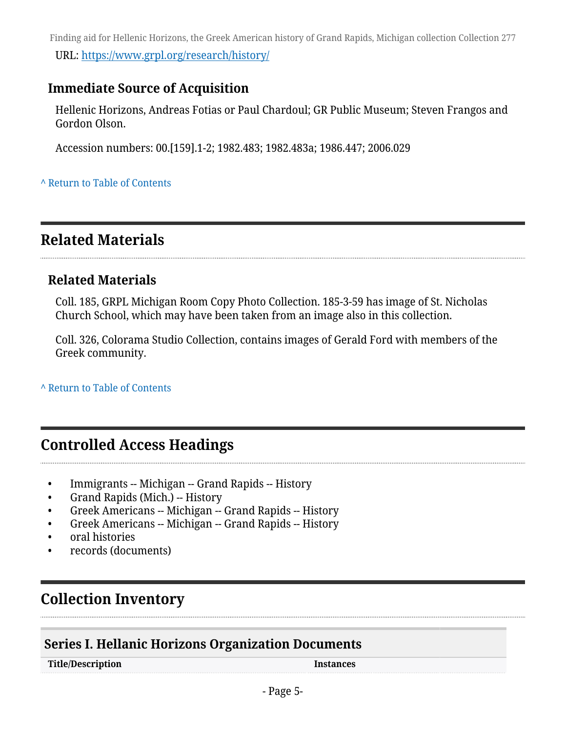Finding aid for Hellenic Horizons, the Greek American history of Grand Rapids, Michigan collection Collection 277 URL:<https://www.grpl.org/research/history/>

### **Immediate Source of Acquisition**

Hellenic Horizons, Andreas Fotias or Paul Chardoul; GR Public Museum; Steven Frangos and Gordon Olson.

Accession numbers: 00.[159].1-2; 1982.483; 1982.483a; 1986.447; 2006.029

#### **^** [Return to Table of Contents](#page-1-0)

## <span id="page-4-0"></span>**Related Materials**

### **Related Materials**

Coll. 185, GRPL Michigan Room Copy Photo Collection. 185-3-59 has image of St. Nicholas Church School, which may have been taken from an image also in this collection.

Coll. 326, Colorama Studio Collection, contains images of Gerald Ford with members of the Greek community.

**^** [Return to Table of Contents](#page-1-0)

## <span id="page-4-1"></span>**Controlled Access Headings**

- Immigrants -- Michigan -- Grand Rapids -- History
- Grand Rapids (Mich.) -- History
- Greek Americans -- Michigan -- Grand Rapids -- History
- Greek Americans -- Michigan -- Grand Rapids -- History
- oral histories
- records (documents)

## <span id="page-4-2"></span>**Collection Inventory**

### <span id="page-4-3"></span>**Series I. Hellanic Horizons Organization Documents**

**Title/Description Instances**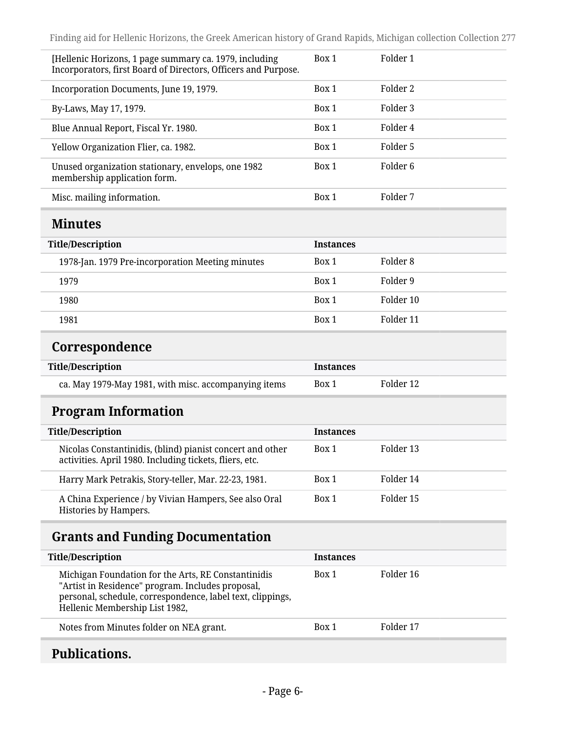<span id="page-5-1"></span><span id="page-5-0"></span>

| [Hellenic Horizons, 1 page summary ca. 1979, including<br>Incorporators, first Board of Directors, Officers and Purpose.                                                                                 | Box 1            | Folder 1            |
|----------------------------------------------------------------------------------------------------------------------------------------------------------------------------------------------------------|------------------|---------------------|
| Incorporation Documents, June 19, 1979.                                                                                                                                                                  | Box 1            | Folder 2            |
| By-Laws, May 17, 1979.                                                                                                                                                                                   | Box 1            | Folder 3            |
| Blue Annual Report, Fiscal Yr. 1980.                                                                                                                                                                     | Box 1            | Folder 4            |
| Yellow Organization Flier, ca. 1982.                                                                                                                                                                     | Box 1            | Folder 5            |
| Unused organization stationary, envelops, one 1982<br>membership application form.                                                                                                                       | Box 1            | Folder <sub>6</sub> |
| Misc. mailing information.                                                                                                                                                                               | Box 1            | Folder 7            |
| <b>Minutes</b>                                                                                                                                                                                           |                  |                     |
| <b>Title/Description</b>                                                                                                                                                                                 | <b>Instances</b> |                     |
| 1978-Jan. 1979 Pre-incorporation Meeting minutes                                                                                                                                                         | Box 1            | Folder <sub>8</sub> |
| 1979                                                                                                                                                                                                     | Box 1            | Folder 9            |
| 1980                                                                                                                                                                                                     | Box 1            | Folder 10           |
| 1981                                                                                                                                                                                                     | Box 1            | Folder 11           |
| Correspondence                                                                                                                                                                                           |                  |                     |
| <b>Title/Description</b>                                                                                                                                                                                 | <b>Instances</b> |                     |
| ca. May 1979-May 1981, with misc. accompanying items                                                                                                                                                     | Box 1            | Folder 12           |
| <b>Program Information</b>                                                                                                                                                                               |                  |                     |
| <b>Title/Description</b>                                                                                                                                                                                 | <b>Instances</b> |                     |
| Nicolas Constantinidis, (blind) pianist concert and other<br>activities. April 1980. Including tickets, fliers, etc.                                                                                     | Box 1            | Folder 13           |
| Harry Mark Petrakis, Story-teller, Mar. 22-23, 1981.                                                                                                                                                     | Box 1            | Folder 14           |
| A China Experience / by Vivian Hampers, See also Oral<br>Histories by Hampers.                                                                                                                           | Box 1            | Folder 15           |
| <b>Grants and Funding Documentation</b>                                                                                                                                                                  |                  |                     |
| <b>Title/Description</b>                                                                                                                                                                                 | <b>Instances</b> |                     |
| Michigan Foundation for the Arts, RE Constantinidis<br>"Artist in Residence" program. Includes proposal,<br>personal, schedule, correspondence, label text, clippings,<br>Hellenic Membership List 1982, | Box 1            | Folder 16           |
| Notes from Minutes folder on NEA grant.                                                                                                                                                                  | Box 1            | Folder 17           |

## <span id="page-5-4"></span><span id="page-5-3"></span><span id="page-5-2"></span>**Publications.**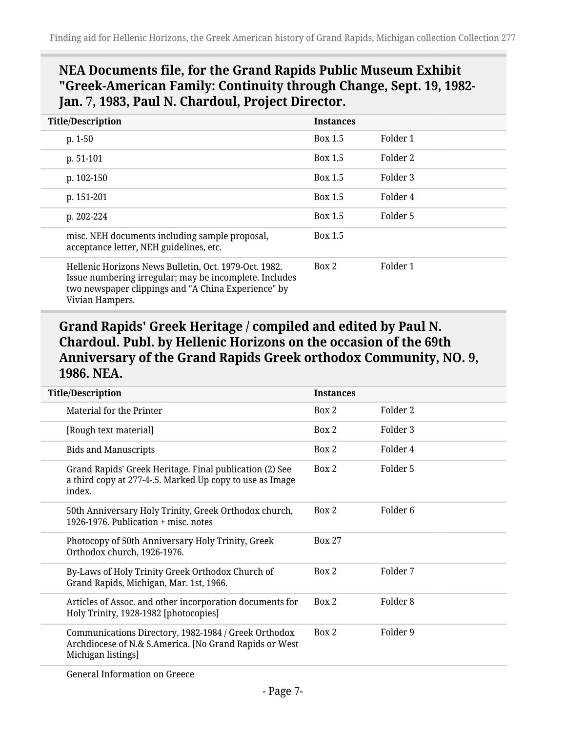## **NEA Documents file, for the Grand Rapids Public Museum Exhibit "Greek-American Family: Continuity through Change, Sept. 19, 1982- Jan. 7, 1983, Paul N. Chardoul, Project Director.**

| <b>Title/Description</b>                                                                                                                                                                  | <b>Instances</b> |          |
|-------------------------------------------------------------------------------------------------------------------------------------------------------------------------------------------|------------------|----------|
| $p. 1-50$                                                                                                                                                                                 | Box 1.5          | Folder 1 |
| $p. 51-101$                                                                                                                                                                               | Box 1.5          | Folder 2 |
| p. 102-150                                                                                                                                                                                | Box 1.5          | Folder 3 |
| p. 151-201                                                                                                                                                                                | Box 1.5          | Folder 4 |
| p. $202 - 224$                                                                                                                                                                            | Box 1.5          | Folder 5 |
| misc. NEH documents including sample proposal,<br>acceptance letter, NEH guidelines, etc.                                                                                                 | Box 1.5          |          |
| Hellenic Horizons News Bulletin, Oct. 1979-Oct. 1982.<br>Issue numbering irregular; may be incomplete. Includes<br>two newspaper clippings and "A China Experience" by<br>Vivian Hampers. | Box 2            | Folder 1 |

#### **Grand Rapids' Greek Heritage / compiled and edited by Paul N. Chardoul. Publ. by Hellenic Horizons on the occasion of the 69th Anniversary of the Grand Rapids Greek orthodox Community, NO. 9, 1986. NEA.**

| <b>Title/Description</b>                                                                                                             | <b>Instances</b> |                     |
|--------------------------------------------------------------------------------------------------------------------------------------|------------------|---------------------|
| Material for the Printer                                                                                                             | Box 2            | Folder 2            |
| [Rough text material]                                                                                                                | Box 2            | Folder 3            |
| <b>Bids and Manuscripts</b>                                                                                                          | Box 2            | Folder 4            |
| Grand Rapids' Greek Heritage. Final publication (2) See<br>a third copy at 277-4-.5. Marked Up copy to use as Image<br>index.        | Box 2            | Folder 5            |
| 50th Anniversary Holy Trinity, Greek Orthodox church,<br>1926-1976. Publication + misc. notes                                        | Box 2            | Folder <sub>6</sub> |
| Photocopy of 50th Anniversary Holy Trinity, Greek<br>Orthodox church, 1926-1976.                                                     | <b>Box 27</b>    |                     |
| By-Laws of Holy Trinity Greek Orthodox Church of<br>Grand Rapids, Michigan, Mar. 1st, 1966.                                          | Box 2            | Folder 7            |
| Articles of Assoc. and other incorporation documents for<br>Holy Trinity, 1928-1982 [photocopies]                                    | Box 2            | Folder 8            |
| Communications Directory, 1982-1984 / Greek Orthodox<br>Archdiocese of N.& S.America. [No Grand Rapids or West<br>Michigan listings] | Box 2            | Folder 9            |
| Canaral Information on Crosse                                                                                                        |                  |                     |

General Information on Greece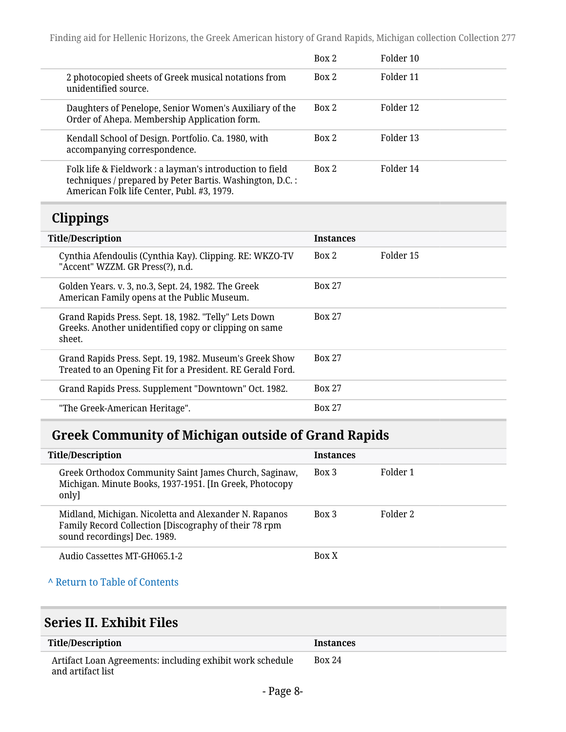|                                                                                                                                                                     | Box 2 | Folder 10 |
|---------------------------------------------------------------------------------------------------------------------------------------------------------------------|-------|-----------|
| 2 photocopied sheets of Greek musical notations from<br>unidentified source.                                                                                        | Box 2 | Folder 11 |
| Daughters of Penelope, Senior Women's Auxiliary of the<br>Order of Ahepa. Membership Application form.                                                              | Box 2 | Folder 12 |
| Kendall School of Design. Portfolio. Ca. 1980, with<br>accompanying correspondence.                                                                                 | Box 2 | Folder 13 |
| Folk life & Fieldwork : a layman's introduction to field<br>techniques / prepared by Peter Bartis. Washington, D.C. :<br>American Folk life Center, Publ. #3, 1979. | Box 2 | Folder 14 |

## <span id="page-7-0"></span>**Clippings**

| <b>Title/Description</b>                                                                                                 | <b>Instances</b> |           |
|--------------------------------------------------------------------------------------------------------------------------|------------------|-----------|
| Cynthia Afendoulis (Cynthia Kay). Clipping. RE: WKZO-TV<br>"Accent" WZZM. GR Press(?), n.d.                              | Box 2            | Folder 15 |
| Golden Years. v. 3, no.3, Sept. 24, 1982. The Greek<br>American Family opens at the Public Museum.                       | <b>Box 27</b>    |           |
| Grand Rapids Press. Sept. 18, 1982. "Telly" Lets Down<br>Greeks. Another unidentified copy or clipping on same<br>sheet. | <b>Box 27</b>    |           |
| Grand Rapids Press. Sept. 19, 1982. Museum's Greek Show<br>Treated to an Opening Fit for a President. RE Gerald Ford.    | <b>Box 27</b>    |           |
| Grand Rapids Press. Supplement "Downtown" Oct. 1982.                                                                     | <b>Box 27</b>    |           |
| "The Greek-American Heritage".                                                                                           | <b>Box 27</b>    |           |

## <span id="page-7-1"></span>**Greek Community of Michigan outside of Grand Rapids**

| <b>Title/Description</b>                                                                                                                       | <b>Instances</b> |          |
|------------------------------------------------------------------------------------------------------------------------------------------------|------------------|----------|
| Greek Orthodox Community Saint James Church, Saginaw,<br>Michigan. Minute Books, 1937-1951. [In Greek, Photocopy<br>only]                      | Box 3            | Folder 1 |
| Midland, Michigan. Nicoletta and Alexander N. Rapanos<br>Family Record Collection [Discography of their 78 rpm<br>sound recordings] Dec. 1989. | $Box$ 3          | Folder 2 |
| Audio Cassettes MT-GH065.1-2                                                                                                                   | Box X            |          |
| A Return to Table of Contents                                                                                                                  |                  |          |
| $\Omega$ and a a $\mathbf{H}$ , $\mathbf{H}$ and $\mathbf{H}$ and $\mathbf{H}$ and $\mathbf{H}$                                                |                  |          |

#### <span id="page-7-2"></span>**Series II. Exhibit Files**

| Title/Description                                                              | <b>Instances</b> |
|--------------------------------------------------------------------------------|------------------|
| Artifact Loan Agreements: including exhibit work schedule<br>and artifact list | <b>Box 24</b>    |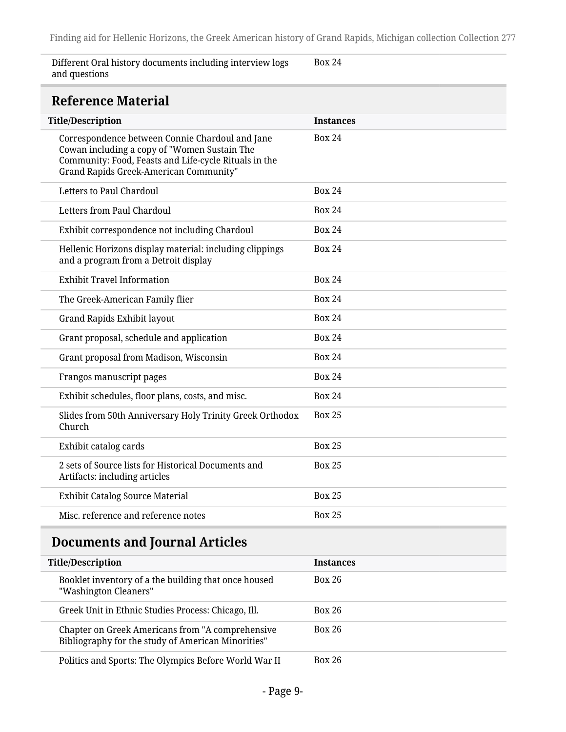Different Oral history documents including interview logs and questions

Box 24

## <span id="page-8-0"></span>**Reference Material**

| <b>Title/Description</b>                                                                                                                                                                           | <b>Instances</b> |
|----------------------------------------------------------------------------------------------------------------------------------------------------------------------------------------------------|------------------|
| Correspondence between Connie Chardoul and Jane<br>Cowan including a copy of "Women Sustain The<br>Community: Food, Feasts and Life-cycle Rituals in the<br>Grand Rapids Greek-American Community" | <b>Box 24</b>    |
| <b>Letters to Paul Chardoul</b>                                                                                                                                                                    | <b>Box 24</b>    |
| Letters from Paul Chardoul                                                                                                                                                                         | <b>Box 24</b>    |
| Exhibit correspondence not including Chardoul                                                                                                                                                      | <b>Box 24</b>    |
| Hellenic Horizons display material: including clippings<br>and a program from a Detroit display                                                                                                    | <b>Box 24</b>    |
| <b>Exhibit Travel Information</b>                                                                                                                                                                  | <b>Box 24</b>    |
| The Greek-American Family flier                                                                                                                                                                    | <b>Box 24</b>    |
| Grand Rapids Exhibit layout                                                                                                                                                                        | <b>Box 24</b>    |
| Grant proposal, schedule and application                                                                                                                                                           | <b>Box 24</b>    |
| Grant proposal from Madison, Wisconsin                                                                                                                                                             | <b>Box 24</b>    |
| Frangos manuscript pages                                                                                                                                                                           | <b>Box 24</b>    |
| Exhibit schedules, floor plans, costs, and misc.                                                                                                                                                   | <b>Box 24</b>    |
| Slides from 50th Anniversary Holy Trinity Greek Orthodox<br>Church                                                                                                                                 | <b>Box 25</b>    |
| Exhibit catalog cards                                                                                                                                                                              | <b>Box 25</b>    |
| 2 sets of Source lists for Historical Documents and<br>Artifacts: including articles                                                                                                               | <b>Box 25</b>    |
| <b>Exhibit Catalog Source Material</b>                                                                                                                                                             | <b>Box 25</b>    |
| Misc. reference and reference notes                                                                                                                                                                | <b>Box 25</b>    |
| <b>Documents and Journal Articles</b>                                                                                                                                                              |                  |
| Titlo/Docerintion                                                                                                                                                                                  | Inctoncoc        |

<span id="page-8-1"></span>

| <b>Title/Description</b>                                                                               | <b>Instances</b> |
|--------------------------------------------------------------------------------------------------------|------------------|
| Booklet inventory of a the building that once housed<br>"Washington Cleaners"                          | Box 26           |
| Greek Unit in Ethnic Studies Process: Chicago, Ill.                                                    | <b>Box 26</b>    |
| Chapter on Greek Americans from "A comprehensive<br>Bibliography for the study of American Minorities" | Box 26           |
| Politics and Sports: The Olympics Before World War II                                                  | <b>Box 26</b>    |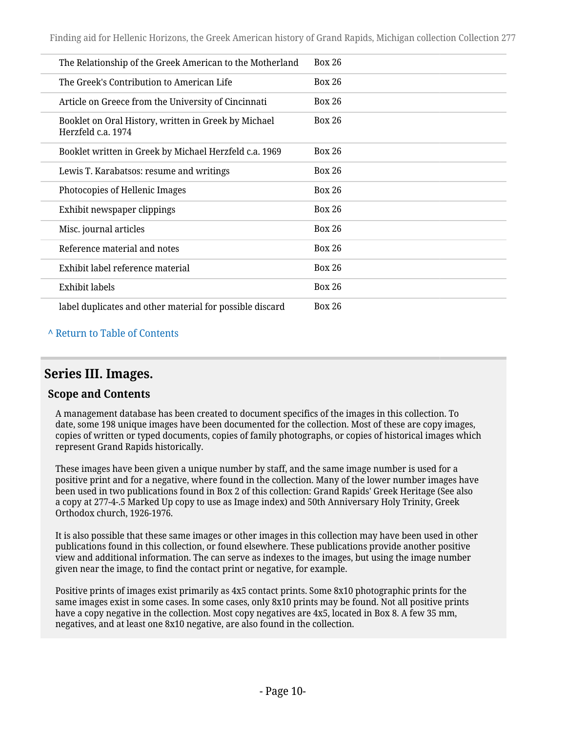| The Relationship of the Greek American to the Motherland                   | Box 26        |
|----------------------------------------------------------------------------|---------------|
| The Greek's Contribution to American Life                                  | Box 26        |
| Article on Greece from the University of Cincinnati                        | Box 26        |
| Booklet on Oral History, written in Greek by Michael<br>Herzfeld c.a. 1974 | <b>Box 26</b> |
| Booklet written in Greek by Michael Herzfeld c.a. 1969                     | Box 26        |
| Lewis T. Karabatsos: resume and writings                                   | Box 26        |
| Photocopies of Hellenic Images                                             | Box 26        |
| Exhibit newspaper clippings                                                | Box 26        |
| Misc. journal articles                                                     | Box 26        |
| Reference material and notes                                               | <b>Box 26</b> |
| Exhibit label reference material                                           | Box 26        |
| Exhibit labels                                                             | <b>Box 26</b> |
| label duplicates and other material for possible discard                   | Box 26        |

#### **^** [Return to Table of Contents](#page-1-0)

#### <span id="page-9-0"></span>**Series III. Images.**

#### **Scope and Contents**

A management database has been created to document specifics of the images in this collection. To date, some 198 unique images have been documented for the collection. Most of these are copy images, copies of written or typed documents, copies of family photographs, or copies of historical images which represent Grand Rapids historically.

These images have been given a unique number by staff, and the same image number is used for a positive print and for a negative, where found in the collection. Many of the lower number images have been used in two publications found in Box 2 of this collection: Grand Rapids' Greek Heritage (See also a copy at 277-4-.5 Marked Up copy to use as Image index) and 50th Anniversary Holy Trinity, Greek Orthodox church, 1926-1976.

It is also possible that these same images or other images in this collection may have been used in other publications found in this collection, or found elsewhere. These publications provide another positive view and additional information. The can serve as indexes to the images, but using the image number given near the image, to find the contact print or negative, for example.

Positive prints of images exist primarily as 4x5 contact prints. Some 8x10 photographic prints for the same images exist in some cases. In some cases, only 8x10 prints may be found. Not all positive prints have a copy negative in the collection. Most copy negatives are 4x5, located in Box 8. A few 35 mm, negatives, and at least one 8x10 negative, are also found in the collection.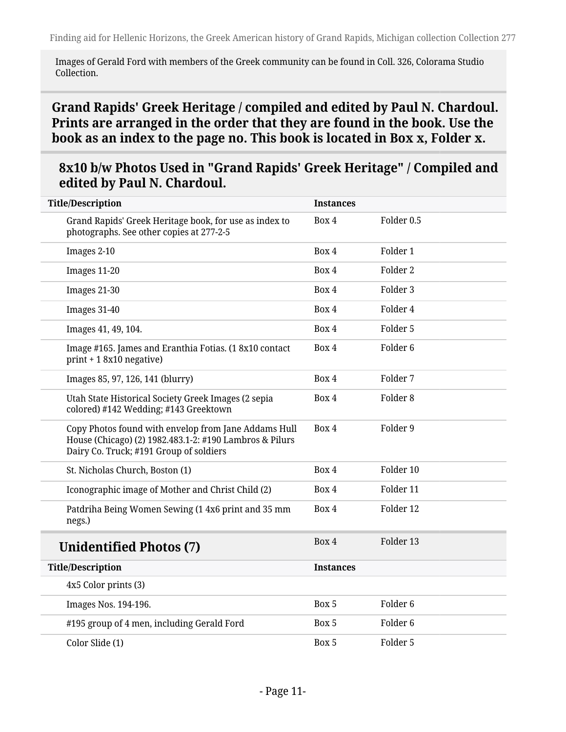Images of Gerald Ford with members of the Greek community can be found in Coll. 326, Colorama Studio Collection.

## <span id="page-10-0"></span>**Grand Rapids' Greek Heritage / compiled and edited by Paul N. Chardoul. Prints are arranged in the order that they are found in the book. Use the book as an index to the page no. This book is located in Box x, Folder x.**

#### **8x10 b/w Photos Used in "Grand Rapids' Greek Heritage" / Compiled and edited by Paul N. Chardoul.**

| <b>Title/Description</b>                                                                                                                                   | Instances        |                     |
|------------------------------------------------------------------------------------------------------------------------------------------------------------|------------------|---------------------|
| Grand Rapids' Greek Heritage book, for use as index to<br>photographs. See other copies at 277-2-5                                                         | Box 4            | Folder 0.5          |
| Images 2-10                                                                                                                                                | Box 4            | Folder 1            |
| Images 11-20                                                                                                                                               | Box 4            | Folder 2            |
| Images 21-30                                                                                                                                               | Box 4            | Folder 3            |
| Images 31-40                                                                                                                                               | Box 4            | Folder 4            |
| Images 41, 49, 104.                                                                                                                                        | Box 4            | Folder 5            |
| Image #165. James and Eranthia Fotias. (18x10 contact<br>$print + 18x10$ negative)                                                                         | Box 4            | Folder <sub>6</sub> |
| Images 85, 97, 126, 141 (blurry)                                                                                                                           | Box 4            | Folder 7            |
| Utah State Historical Society Greek Images (2 sepia<br>colored) #142 Wedding; #143 Greektown                                                               | Box 4            | Folder <sub>8</sub> |
| Copy Photos found with envelop from Jane Addams Hull<br>House (Chicago) (2) 1982.483.1-2: #190 Lambros & Pilurs<br>Dairy Co. Truck; #191 Group of soldiers | Box 4            | Folder 9            |
| St. Nicholas Church, Boston (1)                                                                                                                            | Box 4            | Folder 10           |
| Iconographic image of Mother and Christ Child (2)                                                                                                          | Box 4            | Folder 11           |
| Patdriha Being Women Sewing (14x6 print and 35 mm<br>negs.)                                                                                                | Box 4            | Folder 12           |
| <b>Unidentified Photos (7)</b>                                                                                                                             | Box 4            | Folder 13           |
| <b>Title/Description</b>                                                                                                                                   | <b>Instances</b> |                     |
| 4x5 Color prints (3)                                                                                                                                       |                  |                     |
| Images Nos. 194-196.                                                                                                                                       | Box 5            | Folder <sub>6</sub> |
| #195 group of 4 men, including Gerald Ford                                                                                                                 | Box 5            | Folder <sub>6</sub> |
| Color Slide (1)                                                                                                                                            | Box 5            | Folder 5            |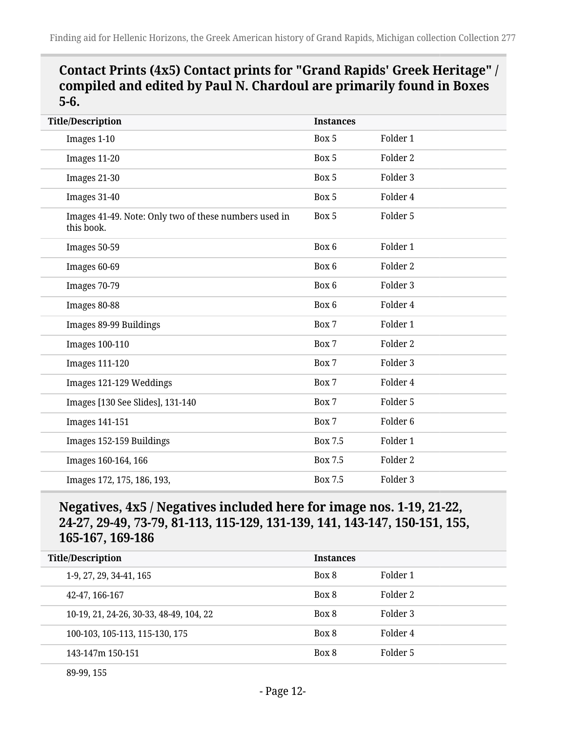### **Contact Prints (4x5) Contact prints for "Grand Rapids' Greek Heritage" / compiled and edited by Paul N. Chardoul are primarily found in Boxes 5-6.**

| <b>Title/Description</b>                                            | <b>Instances</b> |                     |
|---------------------------------------------------------------------|------------------|---------------------|
| Images 1-10                                                         | Box 5            | Folder 1            |
| Images 11-20                                                        | Box 5            | Folder 2            |
| Images 21-30                                                        | Box 5            | Folder 3            |
| Images 31-40                                                        | Box 5            | Folder 4            |
| Images 41-49. Note: Only two of these numbers used in<br>this book. | Box 5            | Folder 5            |
| Images 50-59                                                        | Box 6            | Folder 1            |
| Images 60-69                                                        | Box 6            | Folder 2            |
| Images 70-79                                                        | Box 6            | Folder 3            |
| Images 80-88                                                        | Box 6            | Folder 4            |
| Images 89-99 Buildings                                              | Box 7            | Folder 1            |
| <b>Images 100-110</b>                                               | Box 7            | Folder 2            |
| <b>Images 111-120</b>                                               | Box 7            | Folder 3            |
| Images 121-129 Weddings                                             | Box 7            | Folder 4            |
| Images [130 See Slides], 131-140                                    | Box 7            | Folder 5            |
| <b>Images 141-151</b>                                               | Box 7            | Folder <sub>6</sub> |
| Images 152-159 Buildings                                            | Box 7.5          | Folder 1            |
| Images 160-164, 166                                                 | <b>Box 7.5</b>   | Folder 2            |
| Images 172, 175, 186, 193,                                          | Box 7.5          | Folder 3            |

### **Negatives, 4x5 / Negatives included here for image nos. 1-19, 21-22, 24-27, 29-49, 73-79, 81-113, 115-129, 131-139, 141, 143-147, 150-151, 155, 165-167, 169-186**

| <b>Title/Description</b>                | <b>Instances</b> |          |
|-----------------------------------------|------------------|----------|
| 1-9, 27, 29, 34-41, 165                 | Box 8            | Folder 1 |
| 42-47, 166-167                          | Box 8            | Folder 2 |
| 10-19, 21, 24-26, 30-33, 48-49, 104, 22 | Box 8            | Folder 3 |
| 100-103, 105-113, 115-130, 175          | Box 8            | Folder 4 |
| 143-147m 150-151                        | Box 8            | Folder 5 |
|                                         |                  |          |

89-99, 155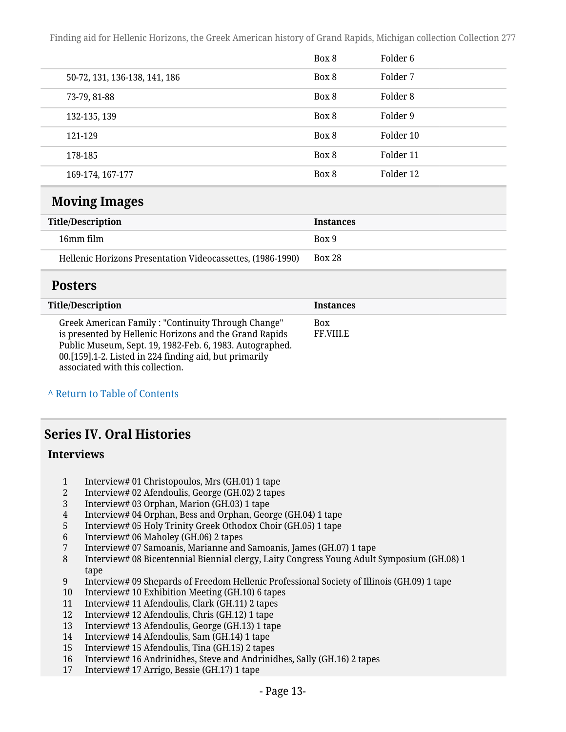|                               | Box 8 | Folder 6  |
|-------------------------------|-------|-----------|
| 50-72, 131, 136-138, 141, 186 | Box 8 | Folder 7  |
| 73-79, 81-88                  | Box 8 | Folder 8  |
| 132-135, 139                  | Box 8 | Folder 9  |
| 121-129                       | Box 8 | Folder 10 |
| 178-185                       | Box 8 | Folder 11 |
| 169-174, 167-177              | Box 8 | Folder 12 |

#### <span id="page-12-0"></span>**Moving Images**

| Title/Description                                          | <b>Instances</b> |
|------------------------------------------------------------|------------------|
| 16mm film                                                  | Box 9            |
| Hellenic Horizons Presentation Videocassettes, (1986-1990) | <b>Box 28</b>    |

#### <span id="page-12-1"></span>**Posters**

| <b>Title/Description</b>                                                                                                                                                                                                                                               | <b>Instances</b>               |
|------------------------------------------------------------------------------------------------------------------------------------------------------------------------------------------------------------------------------------------------------------------------|--------------------------------|
| Greek American Family: "Continuity Through Change"<br>is presented by Hellenic Horizons and the Grand Rapids<br>Public Museum, Sept. 19, 1982-Feb. 6, 1983. Autographed.<br>00.[159].1-2. Listed in 224 finding aid, but primarily<br>associated with this collection. | <b>Box</b><br><b>FF.VIII.E</b> |

**^** [Return to Table of Contents](#page-1-0)

### <span id="page-12-2"></span>**Series IV. Oral Histories**

#### **Interviews**

- 1 Interview# 01 Christopoulos, Mrs (GH.01) 1 tape<br>2 Interview# 02 Afendoulis. George (GH.02) 2 tape
- 2 Interview# 02 Afendoulis, George (GH.02) 2 tapes<br>3 Interview# 03 Orphan, Marion (GH.03) 1 tape
- 3 Interview# 03 Orphan, Marion (GH.03) 1 tape
- 4 Interview# 04 Orphan, Bess and Orphan, George (GH.04) 1 tape
- 5 Interview# 05 Holy Trinity Greek Othodox Choir (GH.05) 1 tape
- 6 Interview# 06 Maholey (GH.06) 2 tapes
- 7 Interview# 07 Samoanis, Marianne and Samoanis, James (GH.07) 1 tape
- 8 Interview# 08 Bicentennial Biennial clergy, Laity Congress Young Adult Symposium (GH.08) 1 tape
- 9 Interview# 09 Shepards of Freedom Hellenic Professional Society of Illinois (GH.09) 1 tape
- 10 Interview# 10 Exhibition Meeting (GH.10) 6 tapes
- 11 Interview# 11 Afendoulis, Clark (GH.11) 2 tapes
- 12 Interview# 12 Afendoulis, Chris (GH.12) 1 tape
- 13 Interview# 13 Afendoulis, George (GH.13) 1 tape
- 14 Interview# 14 Afendoulis, Sam (GH.14) 1 tape
- 15 Interview# 15 Afendoulis, Tina (GH.15) 2 tapes
- 16 Interview# 16 Andrinidhes, Steve and Andrinidhes, Sally (GH.16) 2 tapes<br>17 Interview# 17 Arrigo. Bessie (GH.17) 1 tape
- 17 Interview# 17 Arrigo, Bessie (GH.17) 1 tape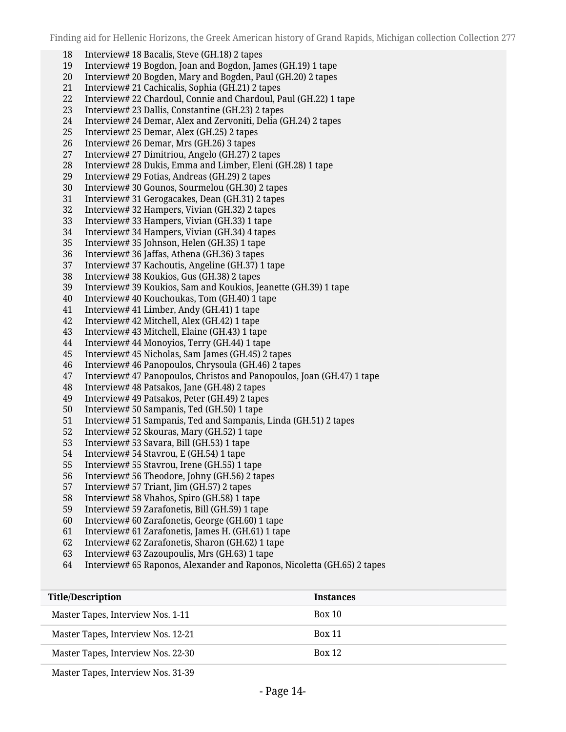- Interview# 18 Bacalis, Steve (GH.18) 2 tapes
- Interview# 19 Bogdon, Joan and Bogdon, James (GH.19) 1 tape
- Interview# 20 Bogden, Mary and Bogden, Paul (GH.20) 2 tapes
- Interview# 21 Cachicalis, Sophia (GH.21) 2 tapes
- Interview# 22 Chardoul, Connie and Chardoul, Paul (GH.22) 1 tape
- Interview# 23 Dallis, Constantine (GH.23) 2 tapes
- Interview# 24 Demar, Alex and Zervoniti, Delia (GH.24) 2 tapes
- Interview# 25 Demar, Alex (GH.25) 2 tapes
- Interview# 26 Demar, Mrs (GH.26) 3 tapes
- Interview# 27 Dimitriou, Angelo (GH.27) 2 tapes
- Interview# 28 Dukis, Emma and Limber, Eleni (GH.28) 1 tape
- Interview# 29 Fotias, Andreas (GH.29) 2 tapes
- Interview# 30 Gounos, Sourmelou (GH.30) 2 tapes
- Interview# 31 Gerogacakes, Dean (GH.31) 2 tapes
- Interview# 32 Hampers, Vivian (GH.32) 2 tapes
- Interview# 33 Hampers, Vivian (GH.33) 1 tape
- Interview# 34 Hampers, Vivian (GH.34) 4 tapes
- 
- Interview# 35 Johnson, Helen (GH.35) 1 tape Interview# 36 Jaffas, Athena (GH.36) 3 tapes
- Interview# 37 Kachoutis, Angeline (GH.37) 1 tape
- Interview# 38 Koukios, Gus (GH.38) 2 tapes
- Interview# 39 Koukios, Sam and Koukios, Jeanette (GH.39) 1 tape
- Interview# 40 Kouchoukas, Tom (GH.40) 1 tape
- 
- Interview# 41 Limber, Andy (GH.41) 1 tape Interview# 42 Mitchell, Alex (GH.42) 1 tape
- Interview# 43 Mitchell, Elaine (GH.43) 1 tape
- Interview# 44 Monoyios, Terry (GH.44) 1 tape
- 
- Interview# 45 Nicholas, Sam James (GH.45) 2 tapes Interview# 46 Panopoulos, Chrysoula (GH.46) 2 tapes
- Interview# 47 Panopoulos, Christos and Panopoulos, Joan (GH.47) 1 tape
- Interview# 48 Patsakos, Jane (GH.48) 2 tapes
- Interview# 49 Patsakos, Peter (GH.49) 2 tapes
- Interview# 50 Sampanis, Ted (GH.50) 1 tape
- Interview# 51 Sampanis, Ted and Sampanis, Linda (GH.51) 2 tapes
- Interview# 52 Skouras, Mary (GH.52) 1 tape
- Interview# 53 Savara, Bill (GH.53) 1 tape
- Interview# 54 Stavrou, E (GH.54) 1 tape
- Interview# 55 Stavrou, Irene (GH.55) 1 tape
- Interview# 56 Theodore, Johny (GH.56) 2 tapes
- 57 Interview# 57 Triant, Jim (GH.57) 2 tapes<br>58 Interview# 58 Vhahos, Spiro (GH.58) 1 tap
- Interview# 58 Vhahos, Spiro (GH.58) 1 tape
- Interview# 59 Zarafonetis, Bill (GH.59) 1 tape
- Interview# 60 Zarafonetis, George (GH.60) 1 tape
- Interview# 61 Zarafonetis, James H. (GH.61) 1 tape
- Interview# 62 Zarafonetis, Sharon (GH.62) 1 tape
- Interview# 63 Zazoupoulis, Mrs (GH.63) 1 tape
- Interview# 65 Raponos, Alexander and Raponos, Nicoletta (GH.65) 2 tapes

| <b>Title/Description</b>           | <b>Instances</b> |
|------------------------------------|------------------|
| Master Tapes, Interview Nos. 1-11  | Box 10           |
| Master Tapes, Interview Nos. 12-21 | <b>Box 11</b>    |
| Master Tapes, Interview Nos. 22-30 | <b>Box 12</b>    |

Master Tapes, Interview Nos. 31-39